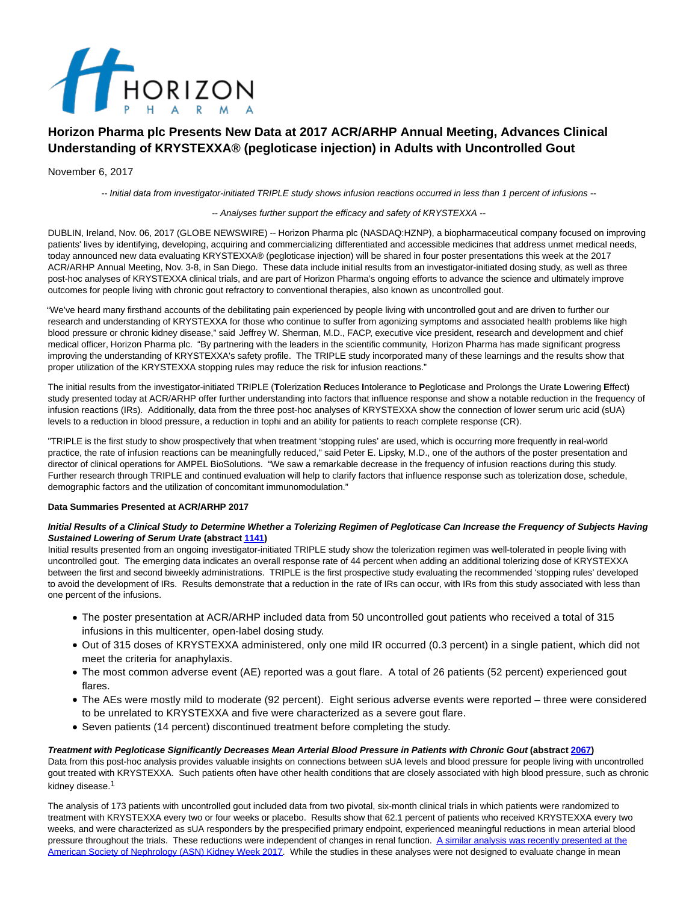

## **Horizon Pharma plc Presents New Data at 2017 ACR/ARHP Annual Meeting, Advances Clinical Understanding of KRYSTEXXA® (pegloticase injection) in Adults with Uncontrolled Gout**

## November 6, 2017

-- Initial data from investigator-initiated TRIPLE study shows infusion reactions occurred in less than 1 percent of infusions --

#### -- Analyses further support the efficacy and safety of KRYSTEXXA --

DUBLIN, Ireland, Nov. 06, 2017 (GLOBE NEWSWIRE) -- Horizon Pharma plc (NASDAQ:HZNP), a biopharmaceutical company focused on improving patients' lives by identifying, developing, acquiring and commercializing differentiated and accessible medicines that address unmet medical needs, today announced new data evaluating KRYSTEXXA® (pegloticase injection) will be shared in four poster presentations this week at the 2017 ACR/ARHP Annual Meeting, Nov. 3-8, in San Diego. These data include initial results from an investigator-initiated dosing study, as well as three post-hoc analyses of KRYSTEXXA clinical trials, and are part of Horizon Pharma's ongoing efforts to advance the science and ultimately improve outcomes for people living with chronic gout refractory to conventional therapies, also known as uncontrolled gout.

"We've heard many firsthand accounts of the debilitating pain experienced by people living with uncontrolled gout and are driven to further our research and understanding of KRYSTEXXA for those who continue to suffer from agonizing symptoms and associated health problems like high blood pressure or chronic kidney disease," said Jeffrey W. Sherman, M.D., FACP, executive vice president, research and development and chief medical officer, Horizon Pharma plc. "By partnering with the leaders in the scientific community, Horizon Pharma has made significant progress improving the understanding of KRYSTEXXA's safety profile. The TRIPLE study incorporated many of these learnings and the results show that proper utilization of the KRYSTEXXA stopping rules may reduce the risk for infusion reactions."

The initial results from the investigator-initiated TRIPLE (**T**olerization **R**educes **I**ntolerance to **P**egloticase and Prolongs the Urate **L**owering **E**ffect) study presented today at ACR/ARHP offer further understanding into factors that influence response and show a notable reduction in the frequency of infusion reactions (IRs). Additionally, data from the three post-hoc analyses of KRYSTEXXA show the connection of lower serum uric acid (sUA) levels to a reduction in blood pressure, a reduction in tophi and an ability for patients to reach complete response (CR).

"TRIPLE is the first study to show prospectively that when treatment 'stopping rules' are used, which is occurring more frequently in real-world practice, the rate of infusion reactions can be meaningfully reduced," said Peter E. Lipsky, M.D., one of the authors of the poster presentation and director of clinical operations for AMPEL BioSolutions. "We saw a remarkable decrease in the frequency of infusion reactions during this study. Further research through TRIPLE and continued evaluation will help to clarify factors that influence response such as tolerization dose, schedule, demographic factors and the utilization of concomitant immunomodulation."

## **Data Summaries Presented at ACR/ARHP 2017**

## **Initial Results of a Clinical Study to Determine Whether a Tolerizing Regimen of Pegloticase Can Increase the Frequency of Subjects Having Sustained Lowering of Serum Urate (abstrac[t 1141\)](https://www.globenewswire.com/Tracker?data=T2_TY69kSFiAtYvzmmjBWQRZLsn6corJOoa-LhIu0OClMj-BMcS5Gb6LxpV0GZu693AP_n474W2BmpoWNUoJwQfDslXaLPIt_80t1MMtznh_ukH9UO3TcJ0VMyx2UerVxtpfe8KHB2prAQ-8rR8smhMR3aBskbbg3L_91S-StcabytlgnMJM-uCfP00qxfnu1MgnXJa3FiSR6A7Fw5UAhreWZ3ZC3w22Kd1OSoXNDICuYSliiaMGKYYdWvZQBHlKDXqjG-W9DpGsY1rXoJe-hXVM4WUEUrljIXe6KRI8TzTH1tH9t73aBJddFYjV2TvW)**

Initial results presented from an ongoing investigator-initiated TRIPLE study show the tolerization regimen was well-tolerated in people living with uncontrolled gout. The emerging data indicates an overall response rate of 44 percent when adding an additional tolerizing dose of KRYSTEXXA between the first and second biweekly administrations. TRIPLE is the first prospective study evaluating the recommended 'stopping rules' developed to avoid the development of IRs. Results demonstrate that a reduction in the rate of IRs can occur, with IRs from this study associated with less than one percent of the infusions.

- The poster presentation at ACR/ARHP included data from 50 uncontrolled gout patients who received a total of 315 infusions in this multicenter, open-label dosing study.
- Out of 315 doses of KRYSTEXXA administered, only one mild IR occurred (0.3 percent) in a single patient, which did not meet the criteria for anaphylaxis.
- The most common adverse event (AE) reported was a gout flare. A total of 26 patients (52 percent) experienced gout flares.
- The AEs were mostly mild to moderate (92 percent). Eight serious adverse events were reported three were considered to be unrelated to KRYSTEXXA and five were characterized as a severe gout flare.
- Seven patients (14 percent) discontinued treatment before completing the study.

## **Treatment with Pegloticase Significantly Decreases Mean Arterial Blood Pressure in Patients with Chronic Gout (abstract [2067\)](https://www.globenewswire.com/Tracker?data=jdk4LPts35hYMaOGtyodJMD-F0mw-Nce-DEBJl6GRpISCB7xqDmsdEf70d1oheHp8feRdhIZB73aqgwoSjU1GzVeCWCZ8ucuL2MhBhjxNQMXFhrIEW5hgT2DEoOHRFdiGrX8Er_DDmG-EUijgfPJ9YgKiBeG9hQeLKZtQXbGxpfXJNru1SmBloa-gygwOZmwsww45M4zNXiw80aK9cf4olb2_Z74Fc7Ac0U1AaghUls=)**

Data from this post-hoc analysis provides valuable insights on connections between sUA levels and blood pressure for people living with uncontrolled gout treated with KRYSTEXXA. Such patients often have other health conditions that are closely associated with high blood pressure, such as chronic kidney disease.<sup>1</sup>

The analysis of 173 patients with uncontrolled gout included data from two pivotal, six-month clinical trials in which patients were randomized to treatment with KRYSTEXXA every two or four weeks or placebo. Results show that 62.1 percent of patients who received KRYSTEXXA every two weeks, and were characterized as sUA responders by the prespecified primary endpoint, experienced meaningful reductions in mean arterial blood [pressure throughout the trials. These reductions were independent of changes in renal function. A similar analysis was recently presented at the](https://www.globenewswire.com/Tracker?data=FC8j5zoWovbHrquhoPnjiFovpECadm954NHAW0E7iMWkGIqSE-iTY_0vvR6TwHLXCeboGn4wYf2RPy67ayuDOe_Z5jw4L1-uFlpqYsrscYkoF_hd_BDlnAgyea1u9eZCLWZVXe-ZDhMTm0HlRow73aM8bo72p2Eip70Gsg6Zbd3-eIxzdV-BydRG-pwn81ciOvTudBr6yTQp3Gh0dlRhrHCJ9di7-nHCyqdL-PPBP9kOre6_EJ1M4edqdFo8hzs2JtJWqahOEAH8Pbquh5CuFyWgNA_P4i31q2fOuTfY_2kw8nr5T5wShYmbvwP3egVtFpiU-7aZYRnXT4pga6IJHg==) American Society of Nephrology (ASN) Kidney Week 2017. While the studies in these analyses were not designed to evaluate change in mean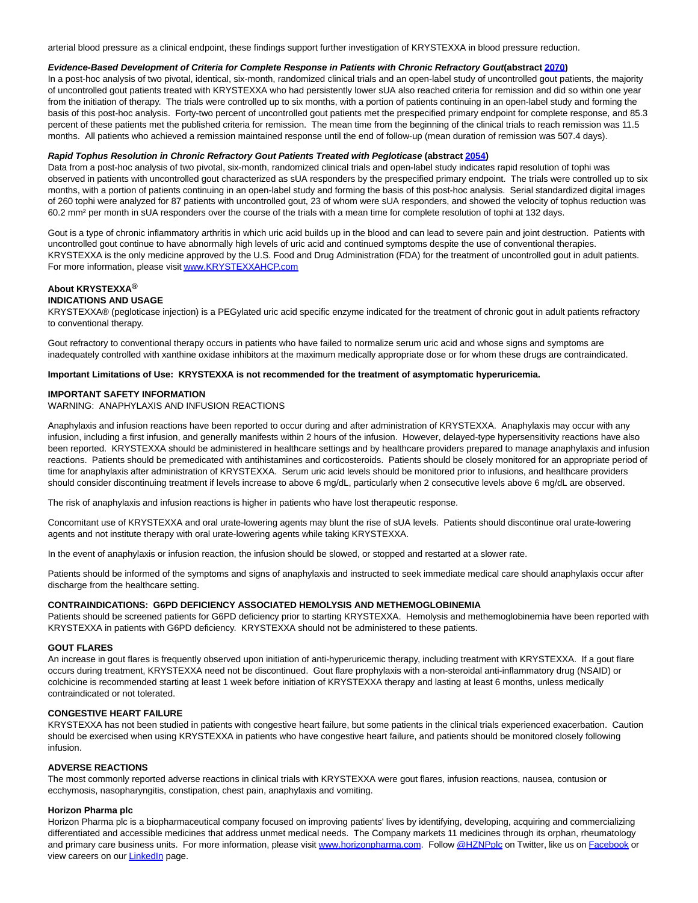arterial blood pressure as a clinical endpoint, these findings support further investigation of KRYSTEXXA in blood pressure reduction.

## **Evidence-Based Development of Criteria for Complete Response in Patients with Chronic Refractory Gout(abstract [2070\)](https://www.globenewswire.com/Tracker?data=o7WcCtmgt9urQYHcm30nL_iKa5oUbwNNSWkqTJw1LaUcVp59RC3Zjplu-6WajH_1X9wJf_eTOoATm8rs9NAmzkj6IdlXSXqFROZqYdnFD11lBZFb3XDewI1_UjIS56xXwC-i_9mh7PIAAtwAet8Yjz94FDfp5TisD1YXp33TRi0gWmYZGw0_RbzVCupSV7uSgF5q-tznLblhlA6dcwpsddW6DzNx2-2A_SxQoNrLghM=)**

In a post-hoc analysis of two pivotal, identical, six-month, randomized clinical trials and an open-label study of uncontrolled gout patients, the majority of uncontrolled gout patients treated with KRYSTEXXA who had persistently lower sUA also reached criteria for remission and did so within one year from the initiation of therapy. The trials were controlled up to six months, with a portion of patients continuing in an open-label study and forming the basis of this post-hoc analysis. Forty-two percent of uncontrolled gout patients met the prespecified primary endpoint for complete response, and 85.3 percent of these patients met the published criteria for remission. The mean time from the beginning of the clinical trials to reach remission was 11.5 months. All patients who achieved a remission maintained response until the end of follow-up (mean duration of remission was 507.4 days).

#### **Rapid Tophus Resolution in Chronic Refractory Gout Patients Treated with Pegloticase (abstrac[t 2054\)](https://www.globenewswire.com/Tracker?data=KO6bvaU39RzUQVHIK0ZFXlRQ2pLRVEpt7IBzHfRaDUsxMNbSlPLCPBUltOCuVxtV5Osy3_7iQszCc8FJNtysKTQCIj2hUcj3jiWYuzC2NnpMI8bLkxykj4O5cIgXUHlLyl_SND34iQQdTGPC0r7zpnshMomCDRCYRDTZ0j7t7J7mZWv24Tjzme6Q86U1kcs3ljuwHvdEyy5buKcmA7TfAQ==)**

Data from a post-hoc analysis of two pivotal, six-month, randomized clinical trials and open-label study indicates rapid resolution of tophi was observed in patients with uncontrolled gout characterized as sUA responders by the prespecified primary endpoint. The trials were controlled up to six months, with a portion of patients continuing in an open-label study and forming the basis of this post-hoc analysis. Serial standardized digital images of 260 tophi were analyzed for 87 patients with uncontrolled gout, 23 of whom were sUA responders, and showed the velocity of tophus reduction was 60.2 mm² per month in sUA responders over the course of the trials with a mean time for complete resolution of tophi at 132 days.

Gout is a type of chronic inflammatory arthritis in which uric acid builds up in the blood and can lead to severe pain and joint destruction. Patients with uncontrolled gout continue to have abnormally high levels of uric acid and continued symptoms despite the use of conventional therapies. KRYSTEXXA is the only medicine approved by the U.S. Food and Drug Administration (FDA) for the treatment of uncontrolled gout in adult patients. For more information, please visi[t www.KRYSTEXXAHCP.com](https://www.globenewswire.com/Tracker?data=6O5014FEQkJ_-GlDXGaQJJI6WhffT60hLJWVdxy7y3LkUI3gSitciYGId5x-cB4OisGncyViq6vj9jdhdXbGobE1kQ99fGK7jcL6eCC1Uy25Ou3HfztctZDBcjJ-_TljzexdrLvhm33LpPC5QS8bvv-UqgFetfBTBh-Pr4N71gloCpoIPyf_Nxv6yRtROZIQru9Va6fRFs1rzKFoLRylPqPZz_UzciA-S0Bc9BbpMEM=)

# **About KRYSTEXXA®**

## **INDICATIONS AND USAGE**

KRYSTEXXA® (pegloticase injection) is a PEGylated uric acid specific enzyme indicated for the treatment of chronic gout in adult patients refractory to conventional therapy.

Gout refractory to conventional therapy occurs in patients who have failed to normalize serum uric acid and whose signs and symptoms are inadequately controlled with xanthine oxidase inhibitors at the maximum medically appropriate dose or for whom these drugs are contraindicated.

#### **Important Limitations of Use: KRYSTEXXA is not recommended for the treatment of asymptomatic hyperuricemia.**

#### **IMPORTANT SAFETY INFORMATION**

WARNING: ANAPHYLAXIS AND INFUSION REACTIONS

Anaphylaxis and infusion reactions have been reported to occur during and after administration of KRYSTEXXA. Anaphylaxis may occur with any infusion, including a first infusion, and generally manifests within 2 hours of the infusion. However, delayed-type hypersensitivity reactions have also been reported. KRYSTEXXA should be administered in healthcare settings and by healthcare providers prepared to manage anaphylaxis and infusion reactions. Patients should be premedicated with antihistamines and corticosteroids. Patients should be closely monitored for an appropriate period of time for anaphylaxis after administration of KRYSTEXXA. Serum uric acid levels should be monitored prior to infusions, and healthcare providers should consider discontinuing treatment if levels increase to above 6 mg/dL, particularly when 2 consecutive levels above 6 mg/dL are observed.

The risk of anaphylaxis and infusion reactions is higher in patients who have lost therapeutic response.

Concomitant use of KRYSTEXXA and oral urate-lowering agents may blunt the rise of sUA levels. Patients should discontinue oral urate-lowering agents and not institute therapy with oral urate-lowering agents while taking KRYSTEXXA.

In the event of anaphylaxis or infusion reaction, the infusion should be slowed, or stopped and restarted at a slower rate.

Patients should be informed of the symptoms and signs of anaphylaxis and instructed to seek immediate medical care should anaphylaxis occur after discharge from the healthcare setting.

#### **CONTRAINDICATIONS: G6PD DEFICIENCY ASSOCIATED HEMOLYSIS AND METHEMOGLOBINEMIA**

Patients should be screened patients for G6PD deficiency prior to starting KRYSTEXXA. Hemolysis and methemoglobinemia have been reported with KRYSTEXXA in patients with G6PD deficiency. KRYSTEXXA should not be administered to these patients.

#### **GOUT FLARES**

An increase in gout flares is frequently observed upon initiation of anti-hyperuricemic therapy, including treatment with KRYSTEXXA. If a gout flare occurs during treatment, KRYSTEXXA need not be discontinued. Gout flare prophylaxis with a non-steroidal anti-inflammatory drug (NSAID) or colchicine is recommended starting at least 1 week before initiation of KRYSTEXXA therapy and lasting at least 6 months, unless medically contraindicated or not tolerated.

## **CONGESTIVE HEART FAILURE**

KRYSTEXXA has not been studied in patients with congestive heart failure, but some patients in the clinical trials experienced exacerbation. Caution should be exercised when using KRYSTEXXA in patients who have congestive heart failure, and patients should be monitored closely following infusion.

#### **ADVERSE REACTIONS**

The most commonly reported adverse reactions in clinical trials with KRYSTEXXA were gout flares, infusion reactions, nausea, contusion or ecchymosis, nasopharyngitis, constipation, chest pain, anaphylaxis and vomiting.

#### **Horizon Pharma plc**

Horizon Pharma plc is a biopharmaceutical company focused on improving patients' lives by identifying, developing, acquiring and commercializing differentiated and accessible medicines that address unmet medical needs. The Company markets 11 medicines through its orphan, rheumatology and primary care business units. For more information, please visit [www.horizonpharma.com.](https://www.globenewswire.com/Tracker?data=IfJ8IuWfIpbLBuvjQhp06WXxtIqN-KOdSf2Ib4QqpJaLBSpem_X0GkppAbqyiSsgTwPNxKOxewm-X5nbRuFJKUslTM0ykB8k008Tc6XdpJ62xNB8mdBczzWgKuDgDro_8hI8_rCz2s5soAYMTE85ArDJWhMA7ryVjMl-Pw-qWOAfmYmZxceAOXBdybE3Y7yd9h8DwcLIAx-5um1xdsOA0SdL0Uy5EFROUFC9tbzTdrVPjru-T9xE3PmYUg0ZolVcjR9blX1MoNPk_li3qr1UlQ==) Follow [@HZNPplc o](https://www.globenewswire.com/Tracker?data=kciVWxqex-pfIAbfpDNBtuF174MT5FBJNf1MEpXzX8JSAplBWKxK451QsDUXcpoHhihKSGgMYlS5PXOJPqj0Ny6bhBYy7WG854FbORM58s9BYF_uDnDsbPoQun9z5uF7JNftfahr9crwc7DONhAkjr9EsrxyU4_QgeQtgRQwuyMrH_R7M4RHr-umkRg2jwpH2dpjzVIOkB1R_qSPVfE6XDNcwjUP5E53msXpdhagZiwP46VfdHAk64Lsj4Dlxw5-PxqtO9awYyr46DByEiLMmIvSFjoMMS3e2_hRF8SZP7oc1h-ZedycnEU_dkSRbcKjqRz54IlTAczXhdtszpPSrTuAegbJH4pmj1REpUngB3m1OqezCon5HAZ1SrvIM2iDhJ1HYhRidblvs0-Fsnet66dicYOgVtr2qbqDC1J21ZJTRv1s2KBCCchlzOhxGh-WRDMRCmEAwanLRKUY0-RvIpctqNSzWYJ2Q4Say9qOC29RWkWszJTVEiP8FbyHuPuglgcv4h4LvAJB6royLVzYeR9grAo2JEq8MwhhquN40G9JZYLSsj0lxPFOzkTHib93_x4OfaTrK0wpmmFV1_6a0K5tjb5R-jfLMQLQ7qELNYhW3BOFTwu-Gwlh-pyBd6ZMoRjV9Q7JGAt6lM5fToxm1hPsaghXQmDSqw29L8uIDEtVqbekJDDzvoOvTDdqM2-Ja5VKYmwdfLmK1-grQIm7akiCaDggVthbxdX8SlCuk-HwoDKHmGIOyESLhN3uwx_IYbJ9GX6e0-QBShlLx15Bt7_D0Ft1WxDQltaOjGhpf2WuWoZ2wF9vTRuG8UKFD7Tz6to0GtV3E-jtOwafTUsFh0jSWsC91XqjMmQU5hM9KIQ0mJgRFDzpJjEbpkO-X-JnE5We6bYTs9ioZopdoVb5fA==)n Twitter, like us on [Facebook o](https://www.globenewswire.com/Tracker?data=JAUy8KQpfeA_k4dNU2wr0v3HEBv4Tni9ckZ7p7CQf1EfiTINcobgC4wMQROrOVeMsWKXBhRhMayP8Cd4VZNuHY5Gz2XThWcMvqqmVyRkTQQ=)r view careers on our **LinkedIn** page.